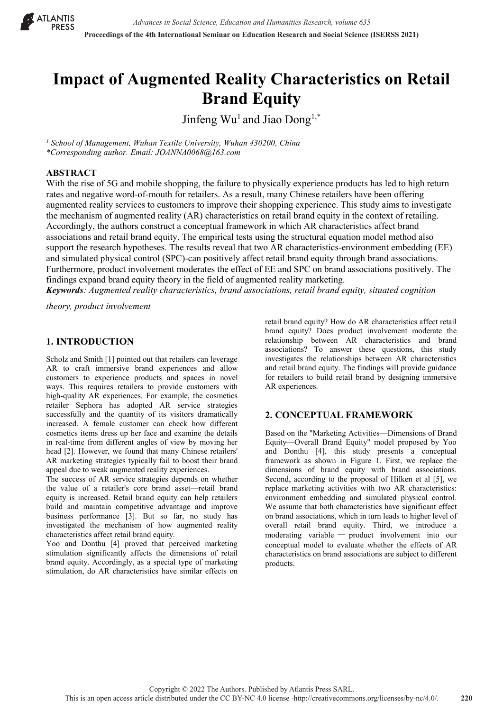

# **Impact of Augmented Reality Characteristics on Retail Brand Equity**

Jinfeng  $Wu^1$  and Jiao  $Dong^{1,*}$ 

*<sup>1</sup> School of Management, Wuhan Textile University, Wuhan 430200, China \*Corresponding author. Email: JOANNA0068@163.com*

## **ABSTRACT**

With the rise of 5G and mobile shopping, the failure to physically experience products has led to high return rates and negative word-of-mouth for retailers. As a result, many Chinese retailers have been offering augmented reality services to customers to improve their shopping experience. This study aims to investigate the mechanism of augmented reality (AR) characteristics on retail brand equity in the context of retailing. Accordingly, the authors construct a conceptual framework in which AR characteristics affect brand associations and retail brand equity. The empirical tests using the structural equation model method also support the research hypotheses. The results reveal that two AR characteristics-environment embedding (EE) and simulated physical control (SPC)-can positively affect retail brand equity through brand associations. Furthermore, product involvement moderates the effect of EE and SPC on brand associations positively. The findings expand brand equity theory in the field of augmented reality marketing.

*Keywords: Augmented reality characteristics, brand associations, retail brand equity, situated cognition* 

*theory, product involvement*

# **1. INTRODUCTION**

Scholz and Smith [1] pointed out that retailers can leverage AR to craft immersive brand experiences and allow customers to experience products and spaces in novel ways. This requires retailers to provide customers with high-quality AR experiences. For example, the cosmetics retailer Sephora has adopted AR service strategies successfully and the quantity of its visitors dramatically increased. A female customer can check how different cosmetics items dress up her face and examine the details in real-time from different angles of view by moving her head [2]. However, we found that many Chinese retailers' AR marketing strategies typically fail to boost their brand appeal due to weak augmented reality experiences.

The success of AR service strategies depends on whether the value of a retailer's core brand asset—retail brand equity is increased. Retail brand equity can help retailers build and maintain competitive advantage and improve business performance [3]. But so far, no study has investigated the mechanism of how augmented reality characteristics affect retail brand equity.

Yoo and Donthu [4] proved that perceived marketing stimulation significantly affects the dimensions of retail brand equity. Accordingly, as a special type of marketing stimulation, do AR characteristics have similar effects on

retail brand equity? How do AR characteristics affect retail brand equity? Does product involvement moderate the relationship between AR characteristics and brand associations? To answer these questions, this study investigates the relationships between AR characteristics and retail brand equity. The findings will provide guidance for retailers to build retail brand by designing immersive AR experiences.

# **2. CONCEPTUAL FRAMEWORK**

Based on the "Marketing Activities—Dimensions of Brand Equity—Overall Brand Equity" model proposed by Yoo and Donthu [4], this study presents a conceptual framework as shown in Figure 1. First, we replace the dimensions of brand equity with brand associations. Second, according to the proposal of Hilken et al [5], we replace marketing activities with two AR characteristics: environment embedding and simulated physical control. We assume that both characteristics have significant effect on brand associations, which in turn leads to higher level of overall retail brand equity. Third, we introduce a moderating variable — product involvement into our conceptual model to evaluate whether the effects of AR characteristics on brand associations are subject to different products.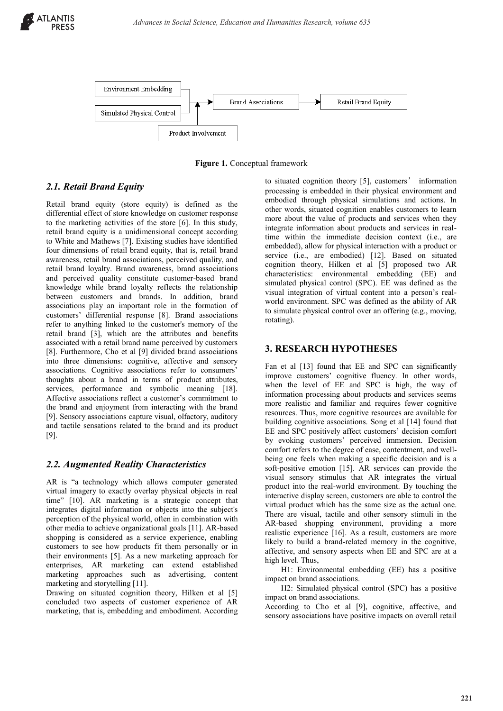

**Figure 1.** Conceptual framework

# *2.1. Retail Brand Equity*

Retail brand equity (store equity) is defined as the differential effect of store knowledge on customer response to the marketing activities of the store [6]. In this study, retail brand equity is a unidimensional concept according to White and Mathews [7]. Existing studies have identified four dimensions of retail brand equity, that is, retail brand awareness, retail brand associations, perceived quality, and retail brand loyalty. Brand awareness, brand associations and perceived quality constitute customer-based brand knowledge while brand loyalty reflects the relationship between customers and brands. In addition, brand associations play an important role in the formation of customers' differential response [8]. Brand associations refer to anything linked to the customer's memory of the retail brand [3], which are the attributes and benefits associated with a retail brand name perceived by customers [8]. Furthermore, Cho et al [9] divided brand associations into three dimensions: cognitive, affective and sensory associations. Cognitive associations refer to consumers' thoughts about a brand in terms of product attributes, services, performance and symbolic meaning [18]. Affective associations reflect a customer's commitment to the brand and enjoyment from interacting with the brand [9]. Sensory associations capture visual, olfactory, auditory and tactile sensations related to the brand and its product [9].

# *2.2. Augmented Reality Characteristics*

AR is "a technology which allows computer generated virtual imagery to exactly overlay physical objects in real time" [10]. AR marketing is a strategic concept that integrates digital information or objects into the subject's perception of the physical world, often in combination with other media to achieve organizational goals [11]. AR-based shopping is considered as a service experience, enabling customers to see how products fit them personally or in their environments [5]. As a new marketing approach for enterprises, AR marketing can extend established marketing approaches such as advertising, content marketing and storytelling [11].

Drawing on situated cognition theory, Hilken et al [5] concluded two aspects of customer experience of AR marketing, that is, embedding and embodiment. According to situated cognition theory [5], customers' information processing is embedded in their physical environment and embodied through physical simulations and actions. In other words, situated cognition enables customers to learn more about the value of products and services when they integrate information about products and services in realtime within the immediate decision context (i.e., are embedded), allow for physical interaction with a product or service (i.e., are embodied) [12]. Based on situated cognition theory, Hilken et al [5] proposed two AR characteristics: environmental embedding (EE) and simulated physical control (SPC). EE was defined as the visual integration of virtual content into a person's realworld environment. SPC was defined as the ability of AR to simulate physical control over an offering (e.g., moving, rotating).

# **3. RESEARCH HYPOTHESES**

Fan et al [13] found that EE and SPC can significantly improve customers' cognitive fluency. In other words, when the level of EE and SPC is high, the way of information processing about products and services seems more realistic and familiar and requires fewer cognitive resources. Thus, more cognitive resources are available for building cognitive associations. Song et al [14] found that EE and SPC positively affect customers' decision comfort by evoking customers' perceived immersion. Decision comfort refers to the degree of ease, contentment, and wellbeing one feels when making a specific decision and is a soft-positive emotion [15]. AR services can provide the visual sensory stimulus that AR integrates the virtual product into the real-world environment. By touching the interactive display screen, customers are able to control the virtual product which has the same size as the actual one. There are visual, tactile and other sensory stimuli in the AR-based shopping environment, providing a more realistic experience [16]. As a result, customers are more likely to build a brand-related memory in the cognitive, affective, and sensory aspects when EE and SPC are at a high level. Thus,

H1: Environmental embedding (EE) has a positive impact on brand associations.

H2: Simulated physical control (SPC) has a positive impact on brand associations.

According to Cho et al [9], cognitive, affective, and sensory associations have positive impacts on overall retail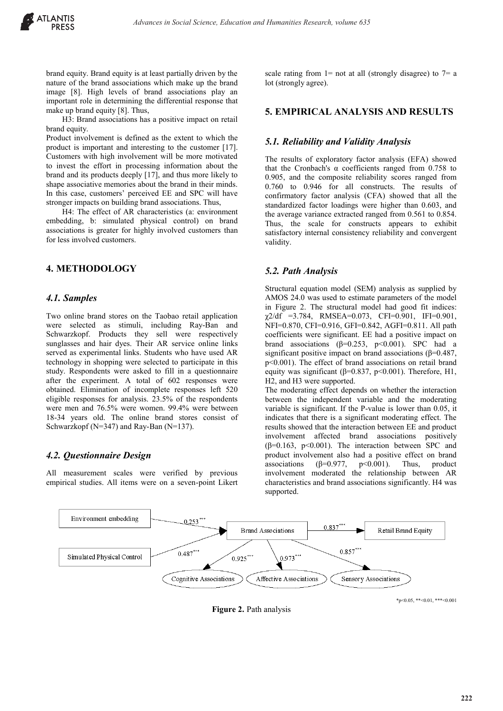brand equity. Brand equity is at least partially driven by the nature of the brand associations which make up the brand image [8]. High levels of brand associations play an important role in determining the differential response that make up brand equity [8]. Thus,

H3: Brand associations has a positive impact on retail brand equity.

Product involvement is defined as the extent to which the product is important and interesting to the customer [17]. Customers with high involvement will be more motivated to invest the effort in processing information about the brand and its products deeply [17], and thus more likely to shape associative memories about the brand in their minds. In this case, customers' perceived EE and SPC will have stronger impacts on building brand associations. Thus,

H4: The effect of AR characteristics (a: environment embedding, b: simulated physical control) on brand associations is greater for highly involved customers than for less involved customers.

## **4. METHODOLOGY**

#### *4.1. Samples*

Two online brand stores on the Taobao retail application were selected as stimuli, including Ray-Ban and Schwarzkopf. Products they sell were respectively sunglasses and hair dyes. Their AR service online links served as experimental links. Students who have used AR technology in shopping were selected to participate in this study. Respondents were asked to fill in a questionnaire after the experiment. A total of 602 responses were obtained. Elimination of incomplete responses left 520 eligible responses for analysis. 23.5% of the respondents were men and 76.5% were women. 99.4% were between 18-34 years old. The online brand stores consist of Schwarzkopf (N=347) and Ray-Ban (N=137).

### *4.2. Questionnaire Design*

All measurement scales were verified by previous empirical studies. All items were on a seven-point Likert scale rating from  $1=$  not at all (strongly disagree) to  $7=$  a lot (strongly agree).

#### **5. EMPIRICAL ANALYSIS AND RESULTS**

#### *5.1. Reliability and Validity Analysis*

The results of exploratory factor analysis (EFA) showed that the Cronbach's  $\alpha$  coefficients ranged from 0.758 to 0.905, and the composite reliability scores ranged from 0.760 to 0.946 for all constructs. The results of confirmatory factor analysis (CFA) showed that all the standardized factor loadings were higher than 0.603, and the average variance extracted ranged from 0.561 to 0.854. Thus, the scale for constructs appears to exhibit satisfactory internal consistency reliability and convergent validity.

#### *5.2. Path Analysis*

Structural equation model (SEM) analysis as supplied by AMOS 24.0 was used to estimate parameters of the model in Figure 2. The structural model had good fit indices:  $\chi$ 2/df =3.784, RMSEA=0.073, CFI=0.901, IFI=0.901, NFI=0.870, CFI=0.916, GFI=0.842, AGFI=0.811. All path coefficients were significant. EE had a positive impact on brand associations ( $β=0.253$ ,  $p<0.001$ ). SPC had a significant positive impact on brand associations (β=0.487, p<0.001). The effect of brand associations on retail brand equity was significant ( $\beta$ =0.837, p<0.001). Therefore, H1, H2, and H3 were supported.

The moderating effect depends on whether the interaction between the independent variable and the moderating variable is significant. If the P-value is lower than 0.05, it indicates that there is a significant moderating effect. The results showed that the interaction between EE and product involvement affected brand associations positively (β=0.163, p<0.001). The interaction between SPC and product involvement also had a positive effect on brand associations ( $\beta$ =0.977, p<0.001). Thus, product involvement moderated the relationship between AR characteristics and brand associations significantly. H4 was supported.



**Figure 2.** Path analysis

 $*_{p<0.05}$ ,  $*<0.01$ ,  $*<0.001$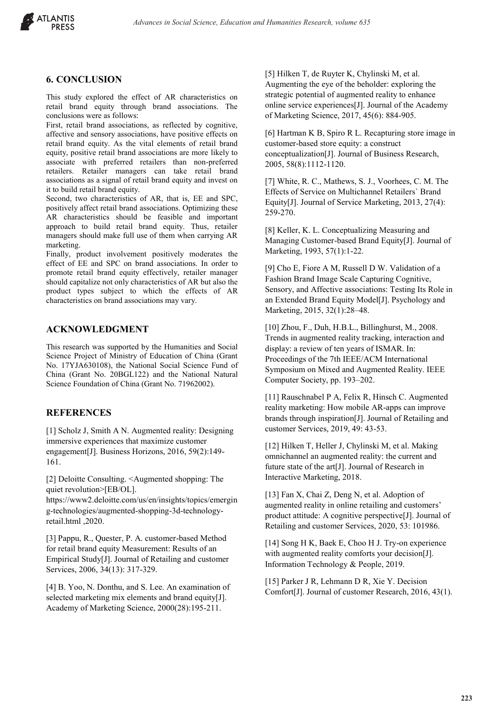

## **6. CONCLUSION**

This study explored the effect of AR characteristics on retail brand equity through brand associations. The conclusions were as follows:

First, retail brand associations, as reflected by cognitive, affective and sensory associations, have positive effects on retail brand equity. As the vital elements of retail brand equity, positive retail brand associations are more likely to associate with preferred retailers than non-preferred retailers. Retailer managers can take retail brand associations as a signal of retail brand equity and invest on it to build retail brand equity.

Second, two characteristics of AR, that is, EE and SPC, positively affect retail brand associations. Optimizing these AR characteristics should be feasible and important approach to build retail brand equity. Thus, retailer managers should make full use of them when carrying AR marketing.

Finally, product involvement positively moderates the effect of EE and SPC on brand associations. In order to promote retail brand equity effectively, retailer manager should capitalize not only characteristics of AR but also the product types subject to which the effects of AR characteristics on brand associations may vary.

## **ACKNOWLEDGMENT**

This research was supported by the Humanities and Social Science Project of Ministry of Education of China (Grant No. 17YJA630108), the National Social Science Fund of China (Grant No. 20BGL122) and the National Natural Science Foundation of China (Grant No. 71962002).

## **REFERENCES**

[1] Scholz J, Smith A N. Augmented reality: Designing immersive experiences that maximize customer engagement[J]. Business Horizons, 2016, 59(2):149- 161.

[2] Deloitte Consulting. <Augmented shopping: The quiet revolution>[EB/OL].

https://www2.deloitte.com/us/en/insights/topics/emergin g-technologies/augmented-shopping-3d-technologyretail.html ,2020.

[3] Pappu, R., Quester, P. A. customer-based Method for retail brand equity Measurement: Results of an Empirical Study[J]. Journal of Retailing and customer Services, 2006, 34(13): 317-329.

[4] B. Yoo, N. Donthu, and S. Lee. An examination of selected marketing mix elements and brand equity[J]. Academy of Marketing Science, 2000(28):195-211.

[5] Hilken T, de Ruyter K, Chylinski M, et al. Augmenting the eye of the beholder: exploring the strategic potential of augmented reality to enhance online service experiences[J]. Journal of the Academy of Marketing Science, 2017, 45(6): 884-905.

[6] Hartman K B, Spiro R L. Recapturing store image in customer-based store equity: a construct conceptualization[J]. Journal of Business Research, 2005, 58(8):1112-1120.

[7] White, R. C., Mathews, S. J., Voorhees, C. M. The Effects of Service on Multichannel Retailers` Brand Equity[J]. Journal of Service Marketing, 2013, 27(4): 259-270.

[8] Keller, K. L. Conceptualizing Measuring and Managing Customer-based Brand Equity[J]. Journal of Marketing, 1993, 57(1):1-22.

[9] Cho E, Fiore A M, Russell D W. Validation of a Fashion Brand Image Scale Capturing Cognitive, Sensory, and Affective associations: Testing Its Role in an Extended Brand Equity Model[J]. Psychology and Marketing, 2015, 32(1):28–48.

[10] Zhou, F., Duh, H.B.L., Billinghurst, M., 2008. Trends in augmented reality tracking, interaction and display: a review of ten years of ISMAR. In: Proceedings of the 7th IEEE/ACM International Symposium on Mixed and Augmented Reality. IEEE Computer Society, pp. 193–202.

[11] Rauschnabel P A, Felix R, Hinsch C. Augmented reality marketing: How mobile AR-apps can improve brands through inspiration[J]. Journal of Retailing and customer Services, 2019, 49: 43-53.

[12] Hilken T, Heller J, Chylinski M, et al. Making omnichannel an augmented reality: the current and future state of the art[J]. Journal of Research in Interactive Marketing, 2018.

[13] Fan X, Chai Z, Deng N, et al. Adoption of augmented reality in online retailing and customers' product attitude: A cognitive perspective[J]. Journal of Retailing and customer Services, 2020, 53: 101986.

[14] Song H K, Baek E, Choo H J. Try-on experience with augmented reality comforts your decision[J]. Information Technology & People, 2019.

[15] Parker J R, Lehmann D R, Xie Y. Decision Comfort[J]. Journal of customer Research, 2016, 43(1).